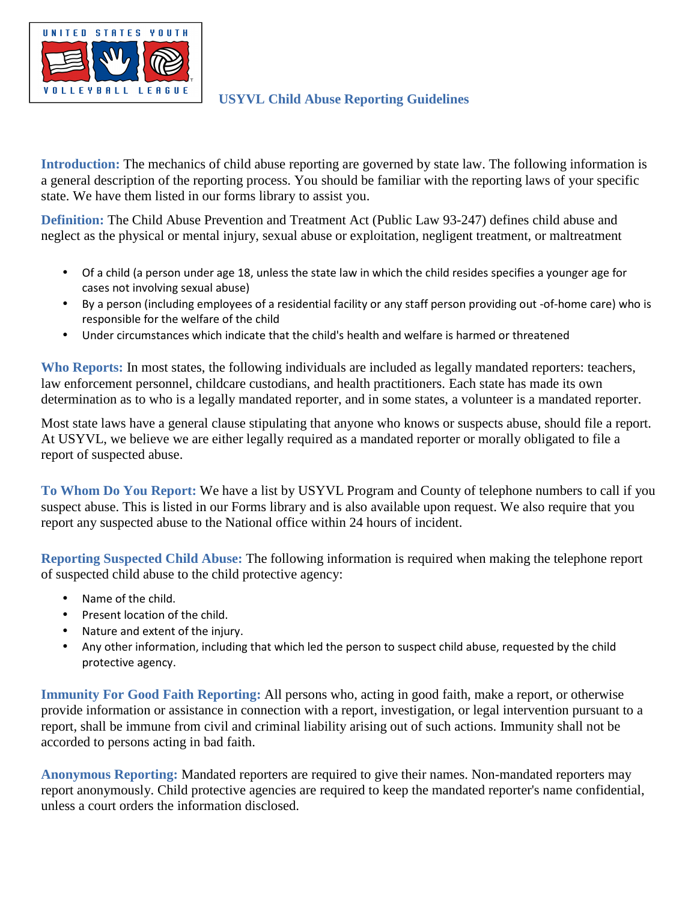

## **USYVL Child Abuse Reporting Guidelines**

**Introduction:** The mechanics of child abuse reporting are governed by state law. The following information is a general description of the reporting process. You should be familiar with the reporting laws of your specific state. We have them listed in our forms library to assist you.

**Definition:** The Child Abuse Prevention and Treatment Act (Public Law 93-247) defines child abuse and neglect as the physical or mental injury, sexual abuse or exploitation, negligent treatment, or maltreatment

- Of a child (a person under age 18, unless the state law in which the child resides specifies a younger age for cases not involving sexual abuse)
- By a person (including employees of a residential facility or any staff person providing out -of-home care) who is responsible for the welfare of the child
- Under circumstances which indicate that the child's health and welfare is harmed or threatened

**Who Reports:** In most states, the following individuals are included as legally mandated reporters: teachers, law enforcement personnel, childcare custodians, and health practitioners. Each state has made its own determination as to who is a legally mandated reporter, and in some states, a volunteer is a mandated reporter.

Most state laws have a general clause stipulating that anyone who knows or suspects abuse, should file a report. At USYVL, we believe we are either legally required as a mandated reporter or morally obligated to file a report of suspected abuse.

**To Whom Do You Report:** We have a list by USYVL Program and County of telephone numbers to call if you suspect abuse. This is listed in our Forms library and is also available upon request. We also require that you report any suspected abuse to the National office within 24 hours of incident.

**Reporting Suspected Child Abuse:** The following information is required when making the telephone report of suspected child abuse to the child protective agency:

- Name of the child.
- Present location of the child.
- Nature and extent of the injury.
- Any other information, including that which led the person to suspect child abuse, requested by the child protective agency.

**Immunity For Good Faith Reporting:** All persons who, acting in good faith, make a report, or otherwise provide information or assistance in connection with a report, investigation, or legal intervention pursuant to a report, shall be immune from civil and criminal liability arising out of such actions. Immunity shall not be accorded to persons acting in bad faith.

**Anonymous Reporting:** Mandated reporters are required to give their names. Non-mandated reporters may report anonymously. Child protective agencies are required to keep the mandated reporter's name confidential, unless a court orders the information disclosed.